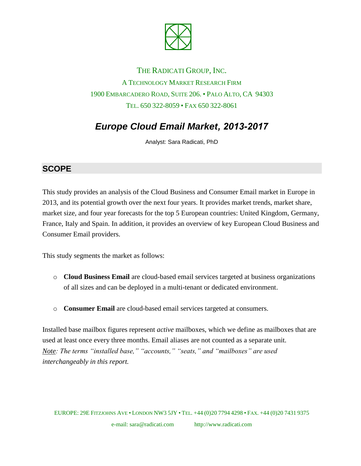

## THE RADICATI GROUP, INC. A TECHNOLOGY MARKET RESEARCH FIRM 1900 EMBARCADERO ROAD, SUITE 206. • PALO ALTO, CA 94303 TEL. 650 322-8059 • FAX 650 322-8061

# *Europe Cloud Email Market, 2013-2017*

Analyst: Sara Radicati, PhD

#### **SCOPE**

This study provides an analysis of the Cloud Business and Consumer Email market in Europe in 2013, and its potential growth over the next four years. It provides market trends, market share, market size, and four year forecasts for the top 5 European countries: United Kingdom, Germany, France, Italy and Spain. In addition, it provides an overview of key European Cloud Business and Consumer Email providers.

This study segments the market as follows:

- o **Cloud Business Email** are cloud-based email services targeted at business organizations of all sizes and can be deployed in a multi-tenant or dedicated environment.
- o **Consumer Email** are cloud-based email services targeted at consumers.

Installed base mailbox figures represent *active* mailboxes, which we define as mailboxes that are used at least once every three months. Email aliases are not counted as a separate unit. *Note: The terms "installed base," "accounts," "seats," and "mailboxes" are used interchangeably in this report.*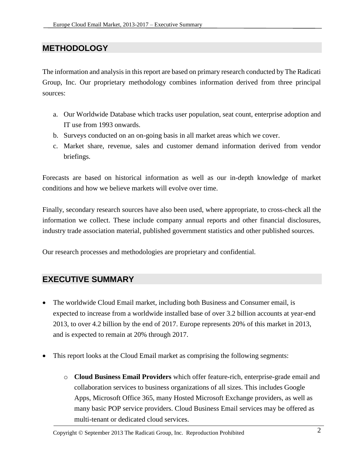#### **METHODOLOGY**

The information and analysis in this report are based on primary research conducted by The Radicati Group, Inc. Our proprietary methodology combines information derived from three principal sources:

- a. Our Worldwide Database which tracks user population, seat count, enterprise adoption and IT use from 1993 onwards.
- b. Surveys conducted on an on-going basis in all market areas which we cover.
- c. Market share, revenue, sales and customer demand information derived from vendor briefings.

Forecasts are based on historical information as well as our in-depth knowledge of market conditions and how we believe markets will evolve over time.

Finally, secondary research sources have also been used, where appropriate, to cross-check all the information we collect. These include company annual reports and other financial disclosures, industry trade association material, published government statistics and other published sources.

Our research processes and methodologies are proprietary and confidential.

#### **EXECUTIVE SUMMARY**

- The worldwide Cloud Email market, including both Business and Consumer email, is expected to increase from a worldwide installed base of over 3.2 billion accounts at year-end 2013, to over 4.2 billion by the end of 2017. Europe represents 20% of this market in 2013, and is expected to remain at 20% through 2017.
- This report looks at the Cloud Email market as comprising the following segments:
	- o **Cloud Business Email Providers** which offer feature-rich, enterprise-grade email and collaboration services to business organizations of all sizes. This includes Google Apps, Microsoft Office 365, many Hosted Microsoft Exchange providers, as well as many basic POP service providers. Cloud Business Email services may be offered as multi-tenant or dedicated cloud services.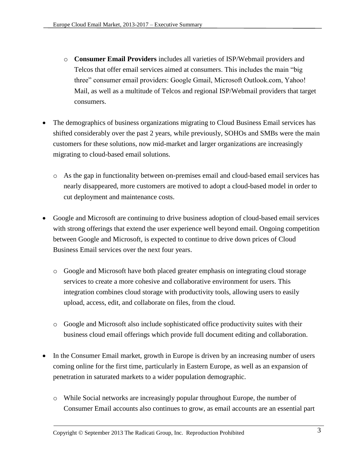- o **Consumer Email Providers** includes all varieties of ISP/Webmail providers and Telcos that offer email services aimed at consumers. This includes the main "big three" consumer email providers: Google Gmail, Microsoft Outlook.com, Yahoo! Mail, as well as a multitude of Telcos and regional ISP/Webmail providers that target consumers.
- The demographics of business organizations migrating to Cloud Business Email services has shifted considerably over the past 2 years, while previously, SOHOs and SMBs were the main customers for these solutions, now mid-market and larger organizations are increasingly migrating to cloud-based email solutions.
	- o As the gap in functionality between on-premises email and cloud-based email services has nearly disappeared, more customers are motived to adopt a cloud-based model in order to cut deployment and maintenance costs.
- Google and Microsoft are continuing to drive business adoption of cloud-based email services with strong offerings that extend the user experience well beyond email. Ongoing competition between Google and Microsoft, is expected to continue to drive down prices of Cloud Business Email services over the next four years.
	- o Google and Microsoft have both placed greater emphasis on integrating cloud storage services to create a more cohesive and collaborative environment for users. This integration combines cloud storage with productivity tools, allowing users to easily upload, access, edit, and collaborate on files, from the cloud.
	- o Google and Microsoft also include sophisticated office productivity suites with their business cloud email offerings which provide full document editing and collaboration.
- In the Consumer Email market, growth in Europe is driven by an increasing number of users coming online for the first time, particularly in Eastern Europe, as well as an expansion of penetration in saturated markets to a wider population demographic.
	- o While Social networks are increasingly popular throughout Europe, the number of Consumer Email accounts also continues to grow, as email accounts are an essential part